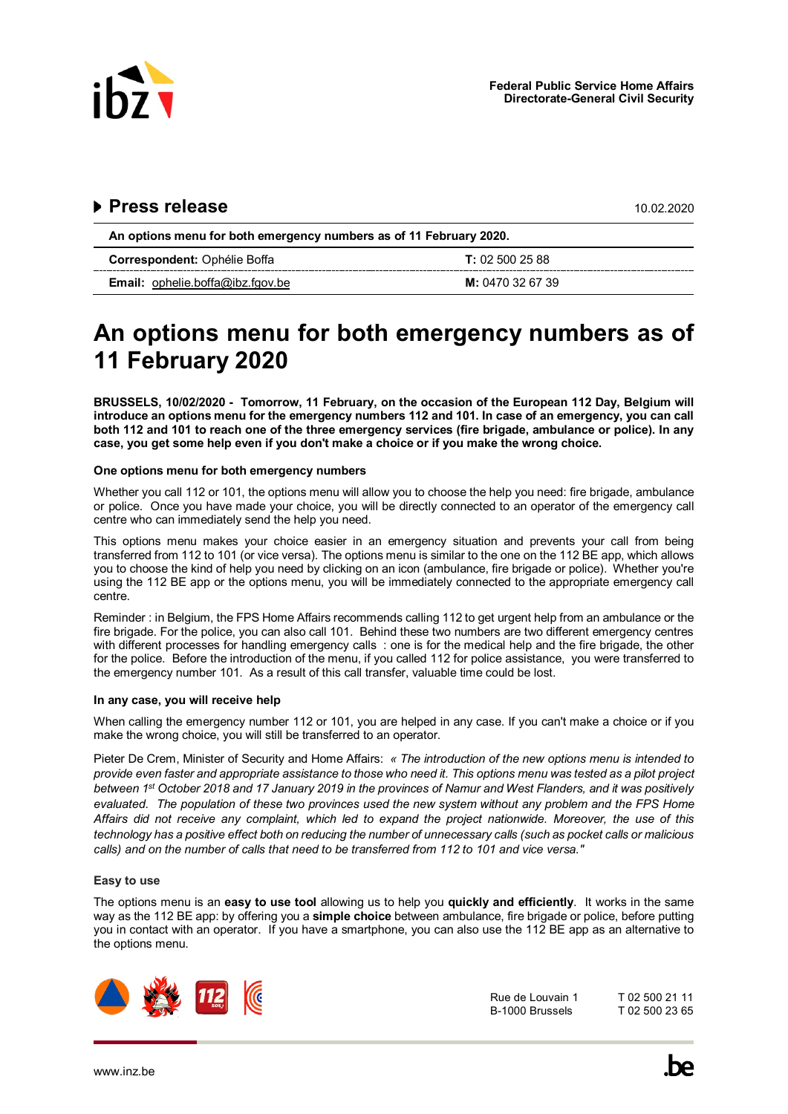

# 

| An options menu for both emergency numbers as of 11 February 2020. |                  |
|--------------------------------------------------------------------|------------------|
| <b>Correspondent:</b> Ophélie Boffa                                | T: 025002588     |
| <b>Email:</b> ophelie.boffa@ibz.fgov.be                            | M: 0470 32 67 39 |

# **An options menu for both emergency numbers as of 11 February 2020**

**BRUSSELS, 10/02/2020 - Tomorrow, 11 February, on the occasion of the European 112 Day, Belgium will introduce an options menu for the emergency numbers 112 and 101. In case of an emergency, you can call both 112 and 101 to reach one of the three emergency services (fire brigade, ambulance or police). In any case, you get some help even if you don't make a choice or if you make the wrong choice.** 

# **One options menu for both emergency numbers**

Whether you call 112 or 101, the options menu will allow you to choose the help you need: fire brigade, ambulance or police. Once you have made your choice, you will be directly connected to an operator of the emergency call centre who can immediately send the help you need.

This options menu makes your choice easier in an emergency situation and prevents your call from being transferred from 112 to 101 (or vice versa). The options menu is similar to the one on the 112 BE app, which allows you to choose the kind of help you need by clicking on an icon (ambulance, fire brigade or police). Whether you're using the 112 BE app or the options menu, you will be immediately connected to the appropriate emergency call centre.

Reminder : in Belgium, the FPS Home Affairs recommends calling 112 to get urgent help from an ambulance or the fire brigade. For the police, you can also call 101. Behind these two numbers are two different emergency centres with different processes for handling emergency calls : one is for the medical help and the fire brigade, the other for the police. Before the introduction of the menu, if you called 112 for police assistance, you were transferred to the emergency number 101. As a result of this call transfer, valuable time could be lost.

# **In any case, you will receive help**

When calling the emergency number 112 or 101, you are helped in any case. If you can't make a choice or if you make the wrong choice, you will still be transferred to an operator.

Pieter De Crem, Minister of Security and Home Affairs: *« The introduction of the new options menu is intended to provide even faster and appropriate assistance to those who need it. This options menu was tested as a pilot project between 1st October 2018 and 17 January 2019 in the provinces of Namur and West Flanders, and it was positively evaluated. The population of these two provinces used the new system without any problem and the FPS Home Affairs did not receive any complaint, which led to expand the project nationwide. Moreover, the use of this technology has a positive effect both on reducing the number of unnecessary calls (such as pocket calls or malicious calls) and on the number of calls that need to be transferred from 112 to 101 and vice versa."*

### **Easy to use**

The options menu is an **easy to use tool** allowing us to help you **quickly and efficiently**. It works in the same way as the 112 BE app: by offering you a **simple choice** between ambulance, fire brigade or police, before putting you in contact with an operator. If you have a smartphone, you can also use the 112 BE app as an alternative to the options menu.



 Rue de Louvain 1 T 02 500 23 65 B-1000 Brussels T 02 500 21 11